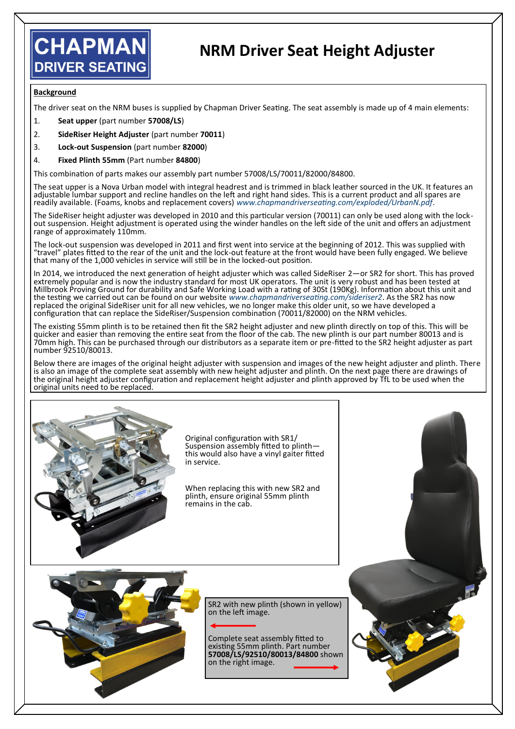## **CHAPMAN DRIVER SEATING**

## **NRM Driver Seat Height Adjuster**

## **Background**

The driver seat on the NRM buses is supplied by Chapman Driver Seating. The seat assembly is made up of 4 main elements:

- 1. **Seat upper** (part number **57008/LS**)
- 2. **SideRiser Height Adjuster** (part number **70011**)
- 3. **Lock-out Suspension** (part number **82000**)
- 4. **Fixed Plinth 55mm** (Part number **84800**)

This combination of parts makes our assembly part number 57008/LS/70011/82000/84800.

The seat upper is a Nova Urban model with integral headrest and is trimmed in black leather sourced in the UK. It features an adjustable lumbar support and recline handles on the left and right hand sides. This is a current product and all spares are readily available. (Foams, knobs and replacement covers) *www.chapmandriverseating.com/exploded/UrbanN.pdf*.

The SideRiser height adjuster was developed in 2010 and this particular version (70011) can only be used along with the lockout suspension. Height adjustment is operated using the winder handles on the left side of the unit and offers an adjustment range of approximately 110mm.

The lock-out suspension was developed in 2011 and first went into service at the beginning of 2012. This was supplied with "travel" plates fitted to the rear of the unit and the lock-out feature at the front would have been fully engaged. We believe that many of the 1,000 vehicles in service will still be in the locked-out position.

In 2014, we introduced the next generation of height adjuster which was called SideRiser 2—or SR2 for short. This has proved extremely popular and is now the industry standard for most UK operators. The unit is very robust and has been tested at Millbrook Proving Ground for durability and Safe Working Load with a rating of 30St (190Kg). Information about this unit and the testing we carried out can be found on our website *www.chapmandriverseating.com/sideriser2*. As the SR2 has now replaced the original SideRiser unit for all new vehicles, we no longer make this older unit, so we have developed a configuration that can replace the SideRiser/Suspension combination (70011/82000) on the NRM vehicles.

The existing 55mm plinth is to be retained then fit the SR2 height adjuster and new plinth directly on top of this. This will be quicker and easier than removing the entire seat from the floor of the cab. The new plinth is our part number 80013 and is 70mm high. This can be purchased through our distributors as a separate item or pre-fitted to the SR2 height adjuster as part number 92510/80013.

Below there are images of the original height adjuster with suspension and images of the new height adjuster and plinth. There is also an image of the complete seat assembly with new height adjuster and plinth. On the next page there are drawings of the original height adjuster configuration and replacement height adjuster and plinth approved by TfL to be used when the original units need to be replaced.



Original configuration with SR1/ Suspension assembly fitted to plinth this would also have a vinyl gaiter fitted in service.

When replacing this with new SR2 and plinth, ensure original 55mm plinth remains in the cab.



SR2 with new plinth (shown in yellow) on the left image.

Complete seat assembly fitted to existing 55mm plinth. Part number **57008/LS/92510/80013/84800** shown on the right image.